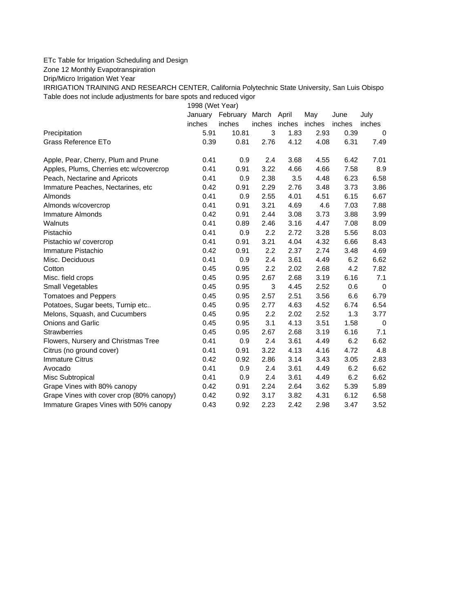## ETc Table for Irrigation Scheduling and Design

Zone 12 Monthly Evapotranspiration

Drip/Micro Irrigation Wet Year

IRRIGATION TRAINING AND RESEARCH CENTER, California Polytechnic State University, San Luis Obispo Table does not include adjustments for bare spots and reduced vigor

1998 (Wet Year)

|                                          | January | February March April |               |      | May    | June   | July     |
|------------------------------------------|---------|----------------------|---------------|------|--------|--------|----------|
|                                          | inches  | inches               | inches inches |      | inches | inches | inches   |
| Precipitation                            | 5.91    | 10.81                | 3             | 1.83 | 2.93   | 0.39   | $\Omega$ |
| Grass Reference ETo                      | 0.39    | 0.81                 | 2.76          | 4.12 | 4.08   | 6.31   | 7.49     |
| Apple, Pear, Cherry, Plum and Prune      | 0.41    | 0.9                  | 2.4           | 3.68 | 4.55   | 6.42   | 7.01     |
| Apples, Plums, Cherries etc w/covercrop  | 0.41    | 0.91                 | 3.22          | 4.66 | 4.66   | 7.58   | 8.9      |
| Peach, Nectarine and Apricots            | 0.41    | 0.9                  | 2.38          | 3.5  | 4.48   | 6.23   | 6.58     |
| Immature Peaches, Nectarines, etc        | 0.42    | 0.91                 | 2.29          | 2.76 | 3.48   | 3.73   | 3.86     |
| Almonds                                  | 0.41    | 0.9                  | 2.55          | 4.01 | 4.51   | 6.15   | 6.67     |
| Almonds w/covercrop                      | 0.41    | 0.91                 | 3.21          | 4.69 | 4.6    | 7.03   | 7.88     |
| Immature Almonds                         | 0.42    | 0.91                 | 2.44          | 3.08 | 3.73   | 3.88   | 3.99     |
| Walnuts                                  | 0.41    | 0.89                 | 2.46          | 3.16 | 4.47   | 7.08   | 8.09     |
| Pistachio                                | 0.41    | 0.9                  | 2.2           | 2.72 | 3.28   | 5.56   | 8.03     |
| Pistachio w/ covercrop                   | 0.41    | 0.91                 | 3.21          | 4.04 | 4.32   | 6.66   | 8.43     |
| Immature Pistachio                       | 0.42    | 0.91                 | 2.2           | 2.37 | 2.74   | 3.48   | 4.69     |
| Misc. Deciduous                          | 0.41    | 0.9                  | 2.4           | 3.61 | 4.49   | 6.2    | 6.62     |
| Cotton                                   | 0.45    | 0.95                 | 2.2           | 2.02 | 2.68   | 4.2    | 7.82     |
| Misc. field crops                        | 0.45    | 0.95                 | 2.67          | 2.68 | 3.19   | 6.16   | 7.1      |
| Small Vegetables                         | 0.45    | 0.95                 | 3             | 4.45 | 2.52   | 0.6    | 0        |
| <b>Tomatoes and Peppers</b>              | 0.45    | 0.95                 | 2.57          | 2.51 | 3.56   | 6.6    | 6.79     |
| Potatoes, Sugar beets, Turnip etc        | 0.45    | 0.95                 | 2.77          | 4.63 | 4.52   | 6.74   | 6.54     |
| Melons, Squash, and Cucumbers            | 0.45    | 0.95                 | 2.2           | 2.02 | 2.52   | 1.3    | 3.77     |
| <b>Onions and Garlic</b>                 | 0.45    | 0.95                 | 3.1           | 4.13 | 3.51   | 1.58   | 0        |
| <b>Strawberries</b>                      | 0.45    | 0.95                 | 2.67          | 2.68 | 3.19   | 6.16   | 7.1      |
| Flowers, Nursery and Christmas Tree      | 0.41    | 0.9                  | 2.4           | 3.61 | 4.49   | 6.2    | 6.62     |
| Citrus (no ground cover)                 | 0.41    | 0.91                 | 3.22          | 4.13 | 4.16   | 4.72   | 4.8      |
| <b>Immature Citrus</b>                   | 0.42    | 0.92                 | 2.86          | 3.14 | 3.43   | 3.05   | 2.83     |
| Avocado                                  | 0.41    | 0.9                  | 2.4           | 3.61 | 4.49   | 6.2    | 6.62     |
| Misc Subtropical                         | 0.41    | 0.9                  | 2.4           | 3.61 | 4.49   | 6.2    | 6.62     |
| Grape Vines with 80% canopy              | 0.42    | 0.91                 | 2.24          | 2.64 | 3.62   | 5.39   | 5.89     |
| Grape Vines with cover crop (80% canopy) | 0.42    | 0.92                 | 3.17          | 3.82 | 4.31   | 6.12   | 6.58     |
| Immature Grapes Vines with 50% canopy    | 0.43    | 0.92                 | 2.23          | 2.42 | 2.98   | 3.47   | 3.52     |